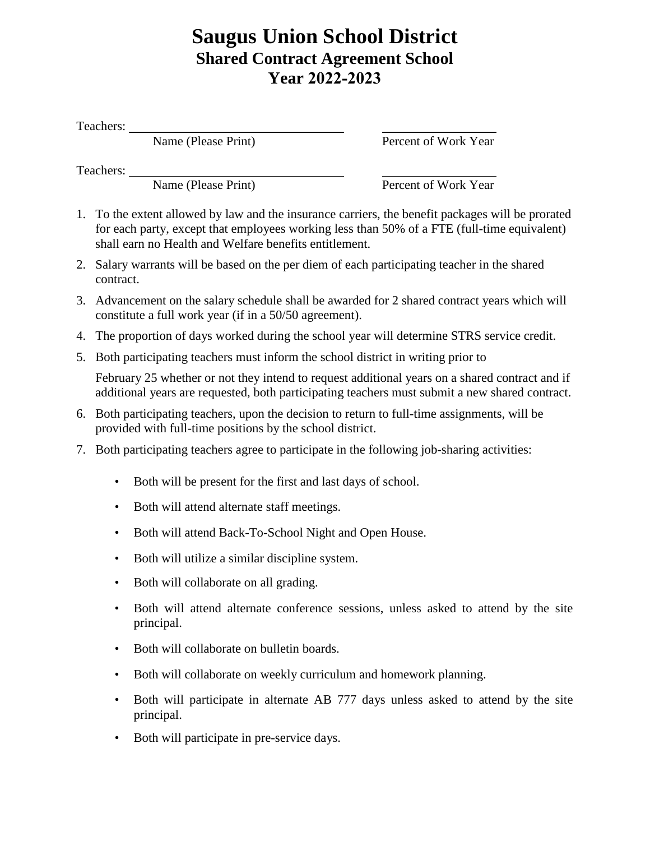## **Saugus Union School District Shared Contract Agreement School Year 2022-2023**

Teachers:

Name (Please Print) Percent of Work Year

Teachers:

Name (Please Print) Percent of Work Year

- 1. To the extent allowed by law and the insurance carriers, the benefit packages will be prorated for each party, except that employees working less than 50% of a FTE (full-time equivalent) shall earn no Health and Welfare benefits entitlement.
- 2. Salary warrants will be based on the per diem of each participating teacher in the shared contract.
- 3. Advancement on the salary schedule shall be awarded for 2 shared contract years which will constitute a full work year (if in a 50/50 agreement).
- 4. The proportion of days worked during the school year will determine STRS service credit.
- 5. Both participating teachers must inform the school district in writing prior to

February 25 whether or not they intend to request additional years on a shared contract and if additional years are requested, both participating teachers must submit a new shared contract.

- 6. Both participating teachers, upon the decision to return to full-time assignments, will be provided with full-time positions by the school district.
- 7. Both participating teachers agree to participate in the following job-sharing activities:
	- Both will be present for the first and last days of school.
	- Both will attend alternate staff meetings.
	- Both will attend Back-To-School Night and Open House.
	- Both will utilize a similar discipline system.
	- Both will collaborate on all grading.
	- Both will attend alternate conference sessions, unless asked to attend by the site principal.
	- Both will collaborate on bulletin boards.
	- Both will collaborate on weekly curriculum and homework planning.
	- Both will participate in alternate AB 777 days unless asked to attend by the site principal.
	- Both will participate in pre-service days.